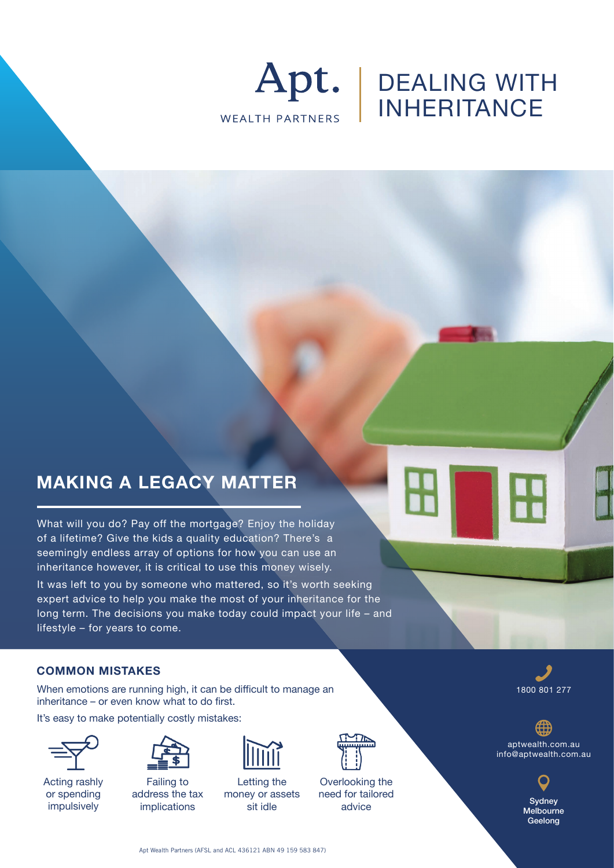

# DEALING WITH INHERITANCE

## **MAKING A LEGACY MATTER**

What will you do? Pay off the mortgage? Enjoy the holiday of a lifetime? Give the kids a quality education? There's a seemingly endless array of options for how you can use an inheritance however, it is critical to use this money wisely. It was left to you by someone who mattered, so it's worth seeking expert advice to help you make the most of your inheritance for the

long term. The decisions you make today could impact your life – and lifestyle – for years to come.

#### **COMMON MISTAKES**

When emotions are running high, it can be difficult to manage an inheritance – or even know what to do first.

It's easy to make potentially costly mistakes:



Acting rashly or spending impulsively



Failing to address the tax implications



Letting the money or assets sit idle



Overlooking the need for tailored advice



aptwealth.com.au info@aptwealth.com.au

> **Sydney Melbourne Geelong**

Apt Wealth Partners (AFSL and ACL 436121 ABN 49 159 583 847)